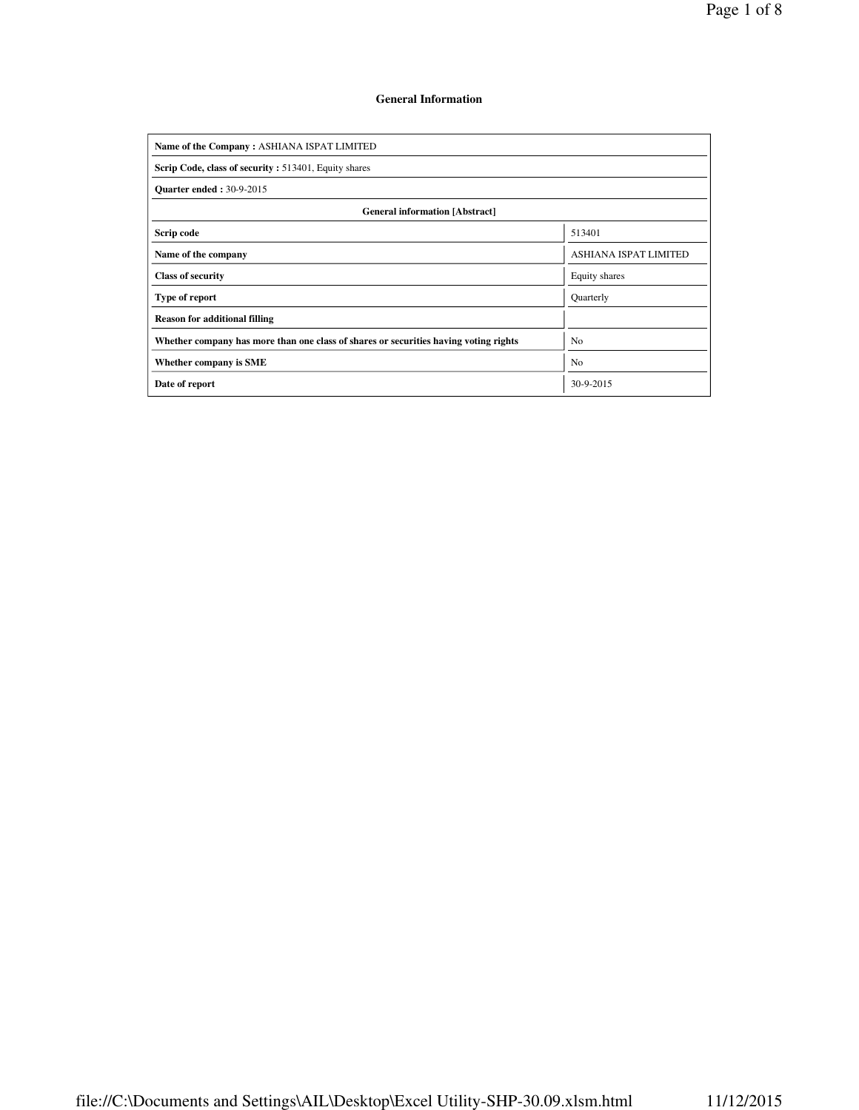## **General Information**

| Name of the Company: ASHIANA ISPAT LIMITED                                           |                       |  |  |  |  |  |  |  |
|--------------------------------------------------------------------------------------|-----------------------|--|--|--|--|--|--|--|
| Scrip Code, class of security: 513401, Equity shares                                 |                       |  |  |  |  |  |  |  |
| <b>Ouarter ended: 30-9-2015</b>                                                      |                       |  |  |  |  |  |  |  |
| <b>General information [Abstract]</b>                                                |                       |  |  |  |  |  |  |  |
| Scrip code                                                                           | 513401                |  |  |  |  |  |  |  |
| Name of the company                                                                  | ASHIANA ISPAT LIMITED |  |  |  |  |  |  |  |
| <b>Class of security</b>                                                             | Equity shares         |  |  |  |  |  |  |  |
| Type of report                                                                       | Quarterly             |  |  |  |  |  |  |  |
| <b>Reason for additional filling</b>                                                 |                       |  |  |  |  |  |  |  |
| Whether company has more than one class of shares or securities having voting rights | N <sub>0</sub>        |  |  |  |  |  |  |  |
| Whether company is SME                                                               | N <sub>o</sub>        |  |  |  |  |  |  |  |
| Date of report                                                                       | 30-9-2015             |  |  |  |  |  |  |  |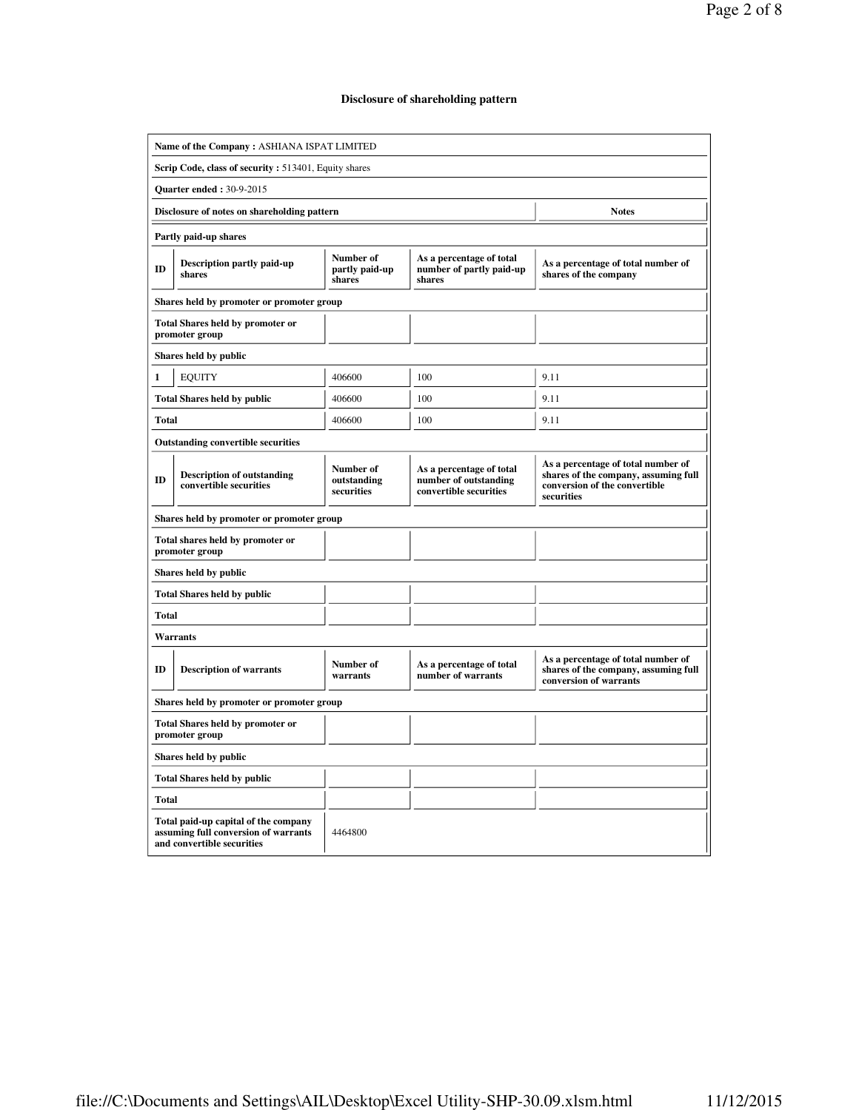### **Disclosure of shareholding pattern**

| Name of the Company: ASHIANA ISPAT LIMITED           |                                                                                                            |                                        |                                                                             |                                                                                                                           |  |  |  |  |  |  |
|------------------------------------------------------|------------------------------------------------------------------------------------------------------------|----------------------------------------|-----------------------------------------------------------------------------|---------------------------------------------------------------------------------------------------------------------------|--|--|--|--|--|--|
| Scrip Code, class of security: 513401, Equity shares |                                                                                                            |                                        |                                                                             |                                                                                                                           |  |  |  |  |  |  |
| <b>Quarter ended: 30-9-2015</b>                      |                                                                                                            |                                        |                                                                             |                                                                                                                           |  |  |  |  |  |  |
|                                                      | Disclosure of notes on shareholding pattern                                                                |                                        |                                                                             | <b>Notes</b>                                                                                                              |  |  |  |  |  |  |
|                                                      | Partly paid-up shares                                                                                      |                                        |                                                                             |                                                                                                                           |  |  |  |  |  |  |
| ID                                                   | <b>Description partly paid-up</b><br>shares                                                                | Number of<br>partly paid-up<br>shares  | As a percentage of total<br>number of partly paid-up<br>shares              | As a percentage of total number of<br>shares of the company                                                               |  |  |  |  |  |  |
|                                                      | Shares held by promoter or promoter group                                                                  |                                        |                                                                             |                                                                                                                           |  |  |  |  |  |  |
|                                                      | <b>Total Shares held by promoter or</b><br>promoter group                                                  |                                        |                                                                             |                                                                                                                           |  |  |  |  |  |  |
|                                                      | Shares held by public                                                                                      |                                        |                                                                             |                                                                                                                           |  |  |  |  |  |  |
| 1                                                    | <b>EOUITY</b>                                                                                              | 406600                                 | 100                                                                         | 9.11                                                                                                                      |  |  |  |  |  |  |
|                                                      | <b>Total Shares held by public</b>                                                                         | 406600                                 | 100                                                                         | 9.11                                                                                                                      |  |  |  |  |  |  |
| Total                                                |                                                                                                            | 406600                                 | 100                                                                         | 9.11                                                                                                                      |  |  |  |  |  |  |
|                                                      | <b>Outstanding convertible securities</b>                                                                  |                                        |                                                                             |                                                                                                                           |  |  |  |  |  |  |
| ID                                                   | <b>Description of outstanding</b><br>convertible securities                                                | Number of<br>outstanding<br>securities | As a percentage of total<br>number of outstanding<br>convertible securities | As a percentage of total number of<br>shares of the company, assuming full<br>conversion of the convertible<br>securities |  |  |  |  |  |  |
|                                                      | Shares held by promoter or promoter group                                                                  |                                        |                                                                             |                                                                                                                           |  |  |  |  |  |  |
|                                                      | Total shares held by promoter or<br>promoter group                                                         |                                        |                                                                             |                                                                                                                           |  |  |  |  |  |  |
|                                                      | Shares held by public                                                                                      |                                        |                                                                             |                                                                                                                           |  |  |  |  |  |  |
|                                                      | <b>Total Shares held by public</b>                                                                         |                                        |                                                                             |                                                                                                                           |  |  |  |  |  |  |
| <b>Total</b>                                         |                                                                                                            |                                        |                                                                             |                                                                                                                           |  |  |  |  |  |  |
|                                                      | <b>Warrants</b>                                                                                            |                                        |                                                                             |                                                                                                                           |  |  |  |  |  |  |
| ID                                                   | <b>Description of warrants</b>                                                                             | Number of<br>warrants                  | As a percentage of total<br>number of warrants                              | As a percentage of total number of<br>shares of the company, assuming full<br>conversion of warrants                      |  |  |  |  |  |  |
|                                                      | Shares held by promoter or promoter group                                                                  |                                        |                                                                             |                                                                                                                           |  |  |  |  |  |  |
|                                                      | <b>Total Shares held by promoter or</b><br>promoter group                                                  |                                        |                                                                             |                                                                                                                           |  |  |  |  |  |  |
|                                                      | Shares held by public                                                                                      |                                        |                                                                             |                                                                                                                           |  |  |  |  |  |  |
|                                                      | <b>Total Shares held by public</b>                                                                         |                                        |                                                                             |                                                                                                                           |  |  |  |  |  |  |
| <b>Total</b>                                         |                                                                                                            |                                        |                                                                             |                                                                                                                           |  |  |  |  |  |  |
|                                                      | Total paid-up capital of the company<br>assuming full conversion of warrants<br>and convertible securities | 4464800                                |                                                                             |                                                                                                                           |  |  |  |  |  |  |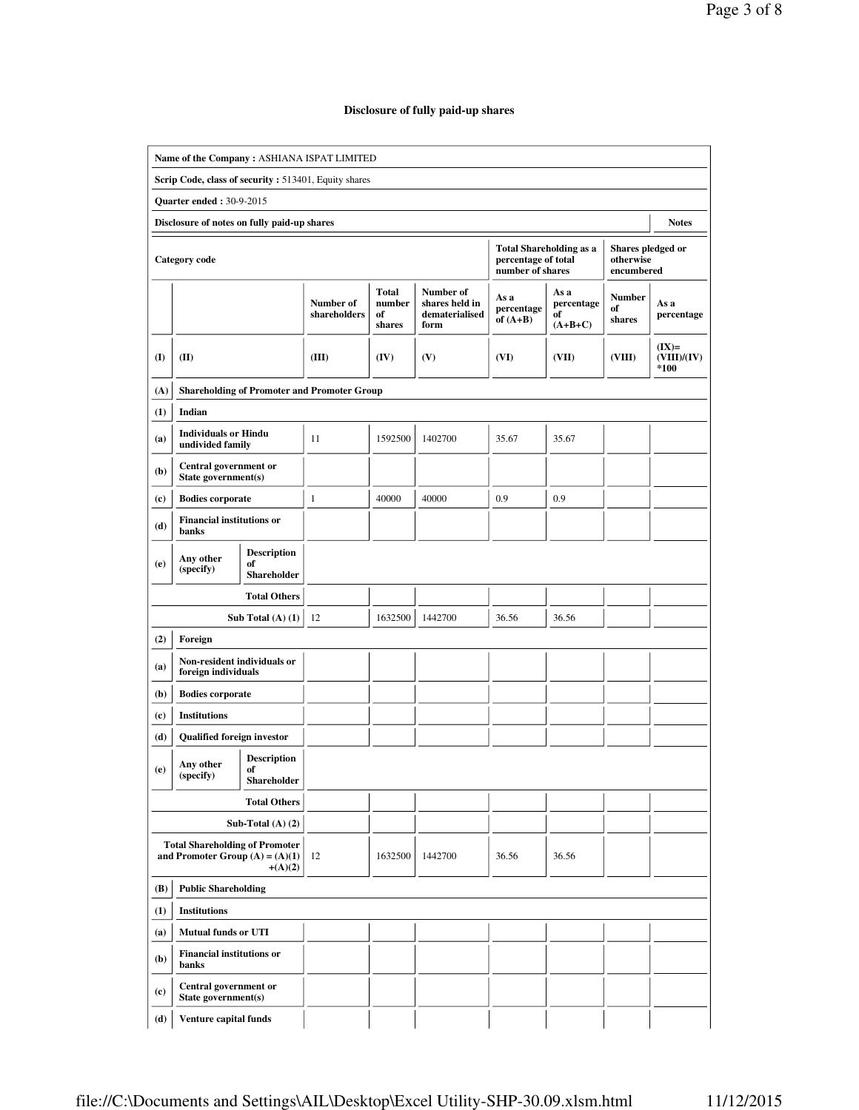# **Disclosure of fully paid-up shares**

|            | Name of the Company: ASHIANA ISPAT LIMITED                                 |                                                |                                                    |                                        |                                                       |                                         |                                       |                                              |                                |
|------------|----------------------------------------------------------------------------|------------------------------------------------|----------------------------------------------------|----------------------------------------|-------------------------------------------------------|-----------------------------------------|---------------------------------------|----------------------------------------------|--------------------------------|
|            | Scrip Code, class of security: 513401, Equity shares                       |                                                |                                                    |                                        |                                                       |                                         |                                       |                                              |                                |
|            | <b>Ouarter ended: 30-9-2015</b>                                            |                                                |                                                    |                                        |                                                       |                                         |                                       |                                              |                                |
|            | Disclosure of notes on fully paid-up shares                                |                                                |                                                    |                                        |                                                       |                                         |                                       |                                              | <b>Notes</b>                   |
|            | <b>Category code</b>                                                       |                                                |                                                    |                                        |                                                       | percentage of total<br>number of shares | <b>Total Shareholding as a</b>        | Shares pledged or<br>otherwise<br>encumbered |                                |
|            |                                                                            |                                                | Number of<br>shareholders                          | <b>Total</b><br>number<br>of<br>shares | Number of<br>shares held in<br>dematerialised<br>form | As a<br>percentage<br>of $(A+B)$        | As a<br>percentage<br>of<br>$(A+B+C)$ | Number<br>of<br>shares                       | As a<br>percentage             |
| <b>(I)</b> | (II)                                                                       |                                                | (III)                                              | (IV)                                   | (V)                                                   | (VI)                                    | (VII)                                 | (VIII)                                       | $(IX)=$<br>(VIII)/(IV)<br>*100 |
| (A)        |                                                                            |                                                | <b>Shareholding of Promoter and Promoter Group</b> |                                        |                                                       |                                         |                                       |                                              |                                |
| (1)        | Indian                                                                     |                                                |                                                    |                                        |                                                       |                                         |                                       |                                              |                                |
| (a)        | <b>Individuals or Hindu</b><br>undivided family                            |                                                | 11                                                 | 1592500                                | 1402700                                               | 35.67                                   | 35.67                                 |                                              |                                |
| (b)        | Central government or<br>State government(s)                               |                                                |                                                    |                                        |                                                       |                                         |                                       |                                              |                                |
| (c)        | <b>Bodies corporate</b>                                                    |                                                | $\mathbf{1}$                                       | 40000                                  | 40000                                                 | 0.9                                     | 0.9                                   |                                              |                                |
| (d)        | <b>Financial institutions or</b><br>banks                                  |                                                |                                                    |                                        |                                                       |                                         |                                       |                                              |                                |
| (e)        | Any other<br>(specify)                                                     | <b>Description</b><br>of<br><b>Shareholder</b> |                                                    |                                        |                                                       |                                         |                                       |                                              |                                |
|            |                                                                            | <b>Total Others</b>                            |                                                    |                                        |                                                       |                                         |                                       |                                              |                                |
|            |                                                                            | Sub Total $(A)$ $(1)$                          | 12                                                 | 1632500                                | 1442700                                               | 36.56                                   | 36.56                                 |                                              |                                |
| (2)        | Foreign                                                                    |                                                |                                                    |                                        |                                                       |                                         |                                       |                                              |                                |
| (a)        | Non-resident individuals or<br>foreign individuals                         |                                                |                                                    |                                        |                                                       |                                         |                                       |                                              |                                |
| (b)        | <b>Bodies corporate</b>                                                    |                                                |                                                    |                                        |                                                       |                                         |                                       |                                              |                                |
| (c)        | <b>Institutions</b>                                                        |                                                |                                                    |                                        |                                                       |                                         |                                       |                                              |                                |
| (d)        | Qualified foreign investor                                                 |                                                |                                                    |                                        |                                                       |                                         |                                       |                                              |                                |
| (e)        | Any other<br>$\left( \text{specificity} \right)$                           | <b>Description</b><br>of<br>Shareholder        |                                                    |                                        |                                                       |                                         |                                       |                                              |                                |
|            |                                                                            | <b>Total Others</b>                            |                                                    |                                        |                                                       |                                         |                                       |                                              |                                |
|            |                                                                            | Sub-Total $(A)$ $(2)$                          |                                                    |                                        |                                                       |                                         |                                       |                                              |                                |
|            | <b>Total Shareholding of Promoter</b><br>and Promoter Group $(A) = (A)(1)$ | $+(A)(2)$                                      | 12                                                 | 1632500                                | 1442700                                               | 36.56                                   | 36.56                                 |                                              |                                |
| (B)        | <b>Public Shareholding</b>                                                 |                                                |                                                    |                                        |                                                       |                                         |                                       |                                              |                                |
| (1)        | <b>Institutions</b>                                                        |                                                |                                                    |                                        |                                                       |                                         |                                       |                                              |                                |
| (a)        | <b>Mutual funds or UTI</b>                                                 |                                                |                                                    |                                        |                                                       |                                         |                                       |                                              |                                |
| (b)        | <b>Financial institutions or</b><br>banks                                  |                                                |                                                    |                                        |                                                       |                                         |                                       |                                              |                                |
| (c)        | Central government or<br>State government(s)                               |                                                |                                                    |                                        |                                                       |                                         |                                       |                                              |                                |
| (d)        | Venture capital funds                                                      |                                                |                                                    |                                        |                                                       |                                         |                                       |                                              |                                |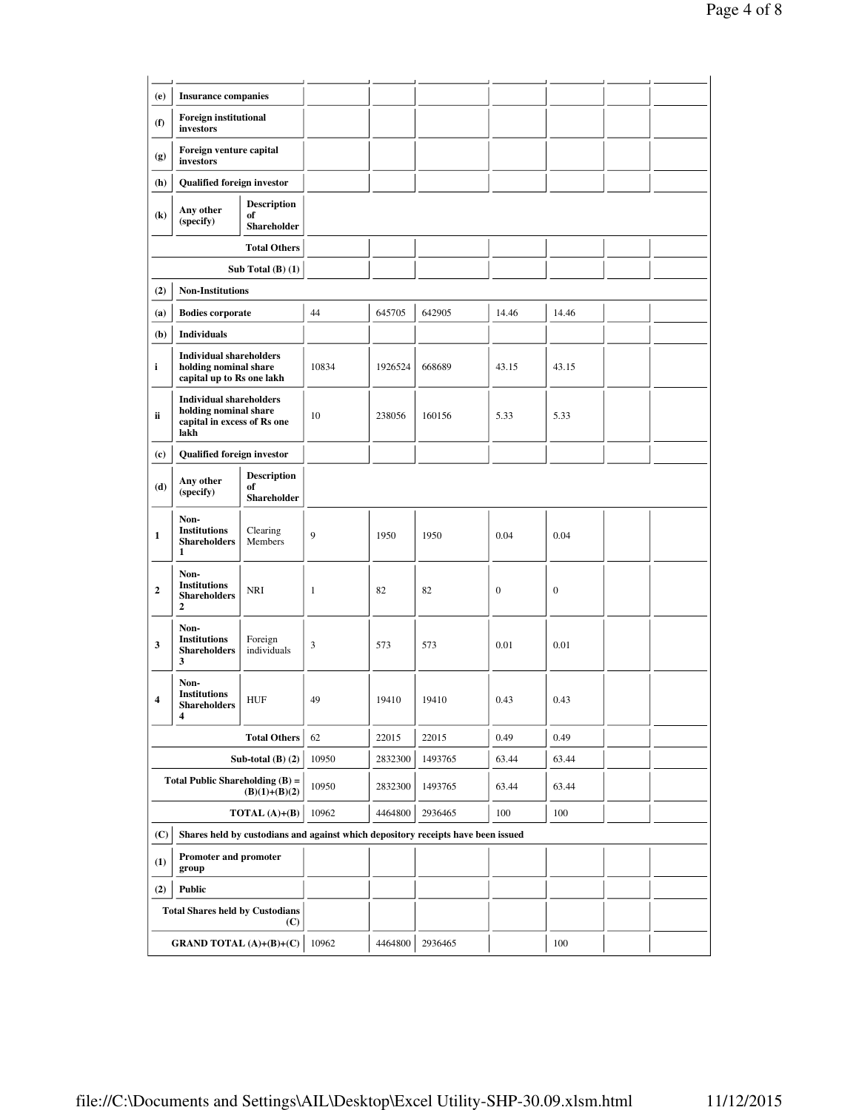| (e)<br><b>Insurance companies</b> |                                                                                                |                                         |         |         |                                                                                  |                  |                  |  |
|-----------------------------------|------------------------------------------------------------------------------------------------|-----------------------------------------|---------|---------|----------------------------------------------------------------------------------|------------------|------------------|--|
| (f)                               | <b>Foreign institutional</b><br>investors                                                      |                                         |         |         |                                                                                  |                  |                  |  |
| (g)                               | Foreign venture capital<br>investors                                                           |                                         |         |         |                                                                                  |                  |                  |  |
| (h)                               | Qualified foreign investor                                                                     |                                         |         |         |                                                                                  |                  |                  |  |
| $\left( \mathbf{k}\right)$        | Any other<br>(specify)                                                                         | <b>Description</b><br>of<br>Shareholder |         |         |                                                                                  |                  |                  |  |
|                                   |                                                                                                | <b>Total Others</b>                     |         |         |                                                                                  |                  |                  |  |
|                                   |                                                                                                | Sub Total $(B)$ $(1)$                   |         |         |                                                                                  |                  |                  |  |
| (2)                               | <b>Non-Institutions</b>                                                                        |                                         |         |         |                                                                                  |                  |                  |  |
| (a)                               | <b>Bodies corporate</b>                                                                        |                                         | 44      | 645705  | 642905                                                                           | 14.46            | 14.46            |  |
| (b)                               | <b>Individuals</b>                                                                             |                                         |         |         |                                                                                  |                  |                  |  |
| i                                 | <b>Individual shareholders</b><br>holding nominal share<br>capital up to Rs one lakh           |                                         | 10834   | 1926524 | 668689                                                                           | 43.15            | 43.15            |  |
| ii                                | <b>Individual shareholders</b><br>holding nominal share<br>capital in excess of Rs one<br>lakh |                                         | 10      | 238056  | 160156                                                                           | 5.33             | 5.33             |  |
| (c)                               | Qualified foreign investor                                                                     |                                         |         |         |                                                                                  |                  |                  |  |
| (d)                               | Any other<br>(specify)                                                                         | <b>Description</b><br>of<br>Shareholder |         |         |                                                                                  |                  |                  |  |
| 1                                 | Non-<br><b>Institutions</b><br><b>Shareholders</b><br>1                                        | Clearing<br>Members                     | 9       | 1950    | 1950                                                                             | 0.04             | 0.04             |  |
| 2                                 | Non-<br><b>Institutions</b><br><b>Shareholders</b><br>2                                        | <b>NRI</b>                              | 1       | 82      | 82                                                                               | $\boldsymbol{0}$ | $\boldsymbol{0}$ |  |
| 3                                 | Non-<br><b>Institutions</b><br><b>Shareholders</b><br>3                                        | Foreign<br>individuals                  | 3       | 573     | 573                                                                              | 0.01             | 0.01             |  |
| 4                                 | Non-<br><b>Institutions</b><br><b>Shareholders</b><br>4                                        | <b>HUF</b>                              | 49      | 19410   | 19410                                                                            | 0.43             | 0.43             |  |
|                                   |                                                                                                | 62                                      | 22015   | 22015   | 0.49                                                                             | 0.49             |                  |  |
|                                   |                                                                                                | Sub-total $(B)$ $(2)$                   | 10950   | 2832300 | 1493765                                                                          | 63.44            | 63.44            |  |
|                                   | Total Public Shareholding $(B) =$                                                              | 10950                                   | 2832300 | 1493765 | 63.44                                                                            | 63.44            |                  |  |
| TOTAL $(A)+(B)$                   |                                                                                                |                                         | 10962   | 4464800 | 2936465                                                                          | 100              | 100              |  |
| (C)                               |                                                                                                |                                         |         |         | Shares held by custodians and against which depository receipts have been issued |                  |                  |  |
| (1)                               | Promoter and promoter<br>group                                                                 |                                         |         |         |                                                                                  |                  |                  |  |
| (2)                               | <b>Public</b>                                                                                  |                                         |         |         |                                                                                  |                  |                  |  |
|                                   | <b>Total Shares held by Custodians</b>                                                         | (C)                                     |         |         |                                                                                  |                  |                  |  |
|                                   | <b>GRAND TOTAL</b> $(A)+(B)+(C)$                                                               |                                         | 10962   | 4464800 | 2936465                                                                          |                  | 100              |  |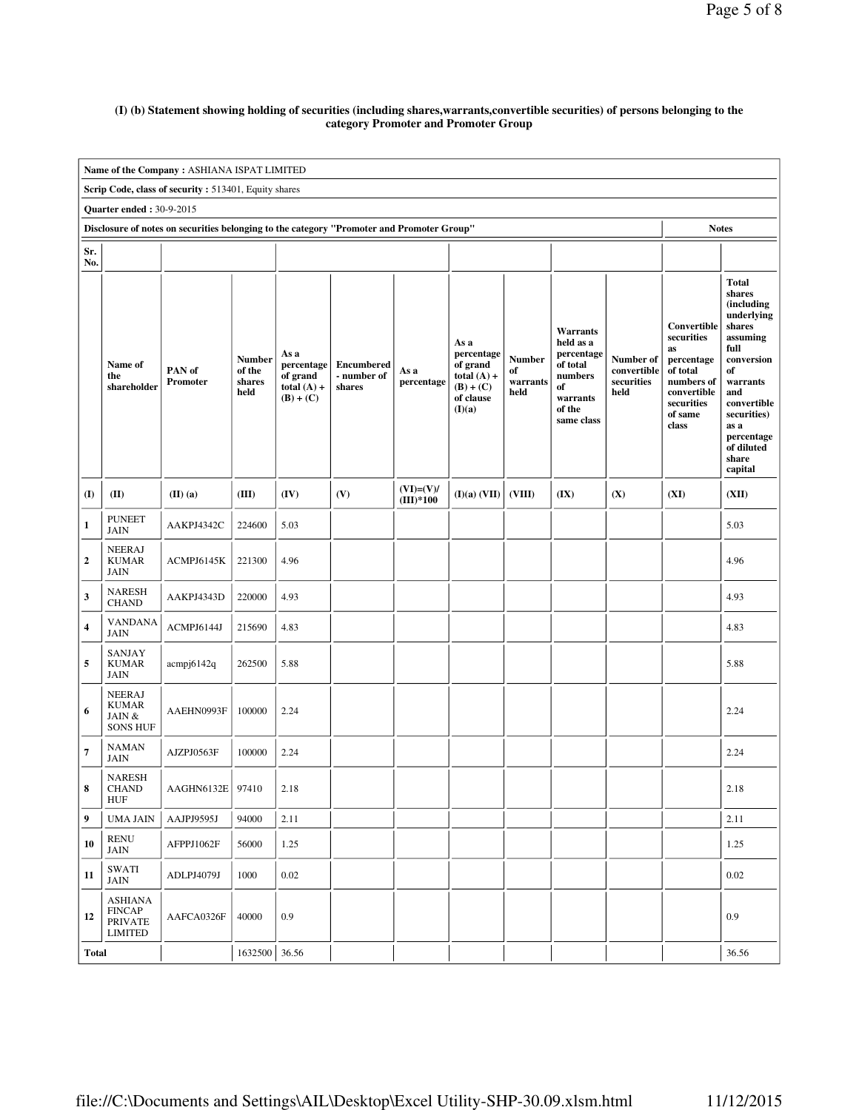## **(I) (b) Statement showing holding of securities (including shares,warrants,convertible securities) of persons belonging to the category Promoter and Promoter Group**

|                                 | Name of the Company: ASHIANA ISPAT LIMITED                          |                                                                                           |                                           |                                                                |                                            |                            |                                                                                       |                                         |                                                                                                      |                                                |                                                                                                                          |                                                                                                                                                                                                               |
|---------------------------------|---------------------------------------------------------------------|-------------------------------------------------------------------------------------------|-------------------------------------------|----------------------------------------------------------------|--------------------------------------------|----------------------------|---------------------------------------------------------------------------------------|-----------------------------------------|------------------------------------------------------------------------------------------------------|------------------------------------------------|--------------------------------------------------------------------------------------------------------------------------|---------------------------------------------------------------------------------------------------------------------------------------------------------------------------------------------------------------|
|                                 | Scrip Code, class of security: 513401, Equity shares                |                                                                                           |                                           |                                                                |                                            |                            |                                                                                       |                                         |                                                                                                      |                                                |                                                                                                                          |                                                                                                                                                                                                               |
| <b>Quarter ended: 30-9-2015</b> |                                                                     |                                                                                           |                                           |                                                                |                                            |                            |                                                                                       |                                         |                                                                                                      |                                                |                                                                                                                          |                                                                                                                                                                                                               |
|                                 |                                                                     | Disclosure of notes on securities belonging to the category "Promoter and Promoter Group" |                                           |                                                                |                                            |                            |                                                                                       |                                         |                                                                                                      |                                                | <b>Notes</b>                                                                                                             |                                                                                                                                                                                                               |
| Sr.<br>No.                      |                                                                     |                                                                                           |                                           |                                                                |                                            |                            |                                                                                       |                                         |                                                                                                      |                                                |                                                                                                                          |                                                                                                                                                                                                               |
|                                 | Name of<br>the<br>shareholder                                       | PAN of<br>Promoter                                                                        | <b>Number</b><br>of the<br>shares<br>held | As a<br>percentage<br>of grand<br>total $(A)$ +<br>$(B) + (C)$ | <b>Encumbered</b><br>- number of<br>shares | As a<br>percentage         | As a<br>percentage<br>of grand<br>total $(A)$ +<br>$(B) + (C)$<br>of clause<br>(I)(a) | <b>Number</b><br>of<br>warrants<br>held | Warrants<br>held as a<br>percentage<br>of total<br>numbers<br>of<br>warrants<br>of the<br>same class | Number of<br>convertible<br>securities<br>held | Convertible<br>securities<br>as<br>percentage<br>of total<br>numbers of<br>convertible<br>securities<br>of same<br>class | <b>Total</b><br>shares<br>(including<br>underlying<br>shares<br>assuming<br>full<br>conversion<br>of<br>warrants<br>and<br>convertible<br>securities)<br>as a<br>percentage<br>of diluted<br>share<br>capital |
| (I)                             | (II)                                                                | $(II)$ $(a)$                                                                              | (III)                                     | (IV)                                                           | (V)                                        | $(VI)=(V)/$<br>$(III)*100$ | (I)(a) (VII)                                                                          | (VIII)                                  | (IX)                                                                                                 | (X)                                            | (XI)                                                                                                                     | (XII)                                                                                                                                                                                                         |
| $\mathbf{1}$                    | <b>PUNEET</b><br><b>JAIN</b>                                        | AAKPJ4342C                                                                                | 224600                                    | 5.03                                                           |                                            |                            |                                                                                       |                                         |                                                                                                      |                                                |                                                                                                                          | 5.03                                                                                                                                                                                                          |
| $\mathbf{2}$                    | <b>NEERAJ</b><br><b>KUMAR</b><br><b>JAIN</b>                        | ACMPJ6145K                                                                                | 221300                                    | 4.96                                                           |                                            |                            |                                                                                       |                                         |                                                                                                      |                                                |                                                                                                                          | 4.96                                                                                                                                                                                                          |
| 3                               | <b>NARESH</b><br><b>CHAND</b>                                       | AAKPJ4343D                                                                                | 220000                                    | 4.93                                                           |                                            |                            |                                                                                       |                                         |                                                                                                      |                                                |                                                                                                                          | 4.93                                                                                                                                                                                                          |
| $\overline{\mathbf{4}}$         | <b>VANDANA</b><br><b>JAIN</b>                                       | ACMPJ6144J                                                                                | 215690                                    | 4.83                                                           |                                            |                            |                                                                                       |                                         |                                                                                                      |                                                |                                                                                                                          | 4.83                                                                                                                                                                                                          |
| 5                               | <b>SANJAY</b><br><b>KUMAR</b><br><b>JAIN</b>                        | acmpj6142q                                                                                | 262500                                    | 5.88                                                           |                                            |                            |                                                                                       |                                         |                                                                                                      |                                                |                                                                                                                          | 5.88                                                                                                                                                                                                          |
| 6                               | <b>NEERAJ</b><br><b>KUMAR</b><br>JAIN &<br><b>SONS HUF</b>          | AAEHN0993F                                                                                | 100000                                    | 2.24                                                           |                                            |                            |                                                                                       |                                         |                                                                                                      |                                                |                                                                                                                          | 2.24                                                                                                                                                                                                          |
| $\overline{7}$                  | <b>NAMAN</b><br><b>JAIN</b>                                         | AJZPJ0563F                                                                                | 100000                                    | 2.24                                                           |                                            |                            |                                                                                       |                                         |                                                                                                      |                                                |                                                                                                                          | 2.24                                                                                                                                                                                                          |
| 8                               | <b>NARESH</b><br><b>CHAND</b><br><b>HUF</b>                         | AAGHN6132E                                                                                | 97410                                     | 2.18                                                           |                                            |                            |                                                                                       |                                         |                                                                                                      |                                                |                                                                                                                          | 2.18                                                                                                                                                                                                          |
| 9                               | <b>UMA JAIN</b>                                                     | AAJPJ9595J                                                                                | 94000                                     | 2.11                                                           |                                            |                            |                                                                                       |                                         |                                                                                                      |                                                |                                                                                                                          | 2.11                                                                                                                                                                                                          |
| 10                              | <b>RENU</b><br>JAIN                                                 | AFPPJ1062F                                                                                | 56000                                     | 1.25                                                           |                                            |                            |                                                                                       |                                         |                                                                                                      |                                                |                                                                                                                          | 1.25                                                                                                                                                                                                          |
| 11                              | SWATI<br>JAIN                                                       | ADLPJ4079J                                                                                | 1000                                      | 0.02                                                           |                                            |                            |                                                                                       |                                         |                                                                                                      |                                                |                                                                                                                          | 0.02                                                                                                                                                                                                          |
| 12                              | <b>ASHIANA</b><br><b>FINCAP</b><br><b>PRIVATE</b><br><b>LIMITED</b> | AAFCA0326F                                                                                | 40000                                     | 0.9                                                            |                                            |                            |                                                                                       |                                         |                                                                                                      |                                                |                                                                                                                          | 0.9                                                                                                                                                                                                           |
| Total                           |                                                                     |                                                                                           | 1632500                                   | 36.56                                                          |                                            |                            |                                                                                       |                                         |                                                                                                      |                                                |                                                                                                                          | 36.56                                                                                                                                                                                                         |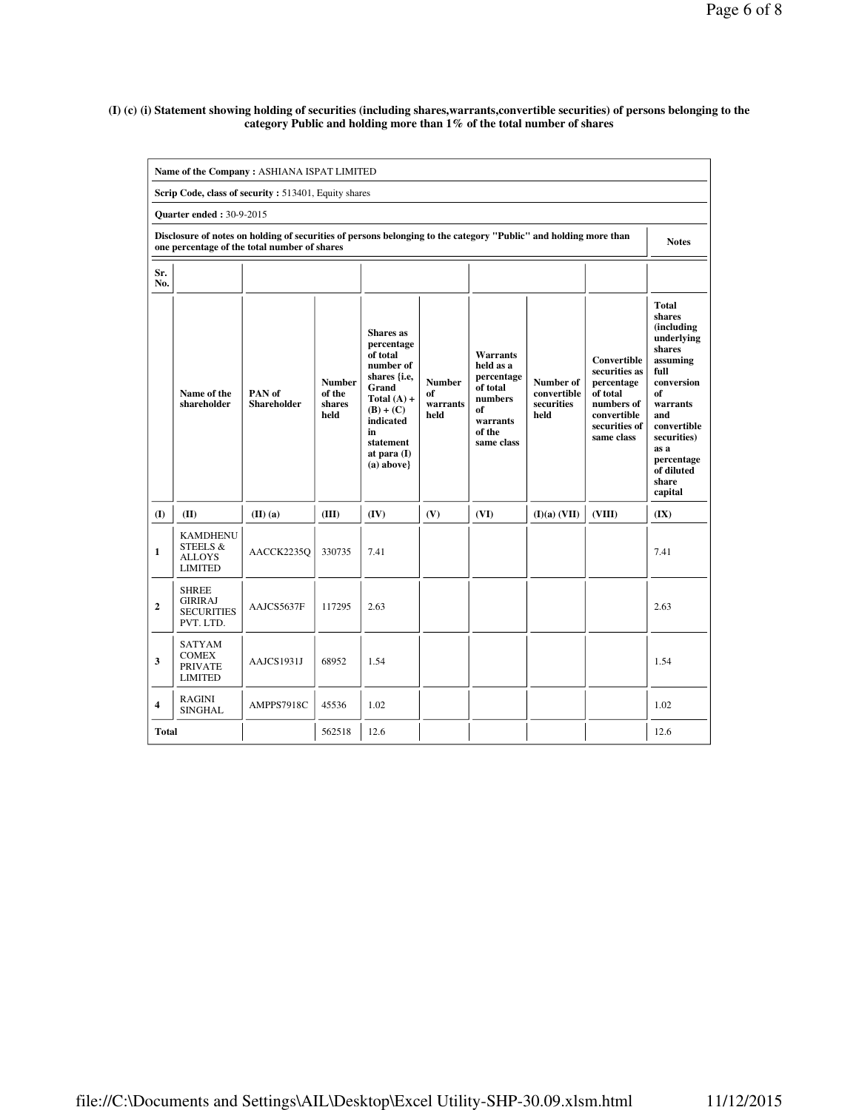#### **(I) (c) (i) Statement showing holding of securities (including shares,warrants,convertible securities) of persons belonging to the category Public and holding more than 1% of the total number of shares**

| Name of the Company: ASHIANA ISPAT LIMITED |                                                                                                                                                                  |                                                      |                                           |                                                                                                                                                                             |                                         |                                                                                                             |                                                |                                                                                                                    |                                                                                                                                                                                                        |  |  |  |
|--------------------------------------------|------------------------------------------------------------------------------------------------------------------------------------------------------------------|------------------------------------------------------|-------------------------------------------|-----------------------------------------------------------------------------------------------------------------------------------------------------------------------------|-----------------------------------------|-------------------------------------------------------------------------------------------------------------|------------------------------------------------|--------------------------------------------------------------------------------------------------------------------|--------------------------------------------------------------------------------------------------------------------------------------------------------------------------------------------------------|--|--|--|
|                                            |                                                                                                                                                                  | Scrip Code, class of security: 513401, Equity shares |                                           |                                                                                                                                                                             |                                         |                                                                                                             |                                                |                                                                                                                    |                                                                                                                                                                                                        |  |  |  |
|                                            | <b>Quarter ended: 30-9-2015</b>                                                                                                                                  |                                                      |                                           |                                                                                                                                                                             |                                         |                                                                                                             |                                                |                                                                                                                    |                                                                                                                                                                                                        |  |  |  |
|                                            | Disclosure of notes on holding of securities of persons belonging to the category "Public" and holding more than<br>one percentage of the total number of shares |                                                      |                                           |                                                                                                                                                                             |                                         |                                                                                                             |                                                |                                                                                                                    |                                                                                                                                                                                                        |  |  |  |
| Sr.<br>No.                                 |                                                                                                                                                                  |                                                      |                                           |                                                                                                                                                                             |                                         |                                                                                                             |                                                |                                                                                                                    |                                                                                                                                                                                                        |  |  |  |
|                                            | Name of the<br>shareholder                                                                                                                                       | PAN of<br><b>Shareholder</b>                         | <b>Number</b><br>of the<br>shares<br>held | Shares as<br>percentage<br>of total<br>number of<br>shares {i.e,<br>Grand<br>Total $(A)$ +<br>$(B) + (C)$<br>indicated<br>in<br>statement<br>at para $(I)$<br>$(a) above\}$ | <b>Number</b><br>of<br>warrants<br>held | <b>Warrants</b><br>held as a<br>percentage<br>of total<br>numbers<br>of<br>warrants<br>of the<br>same class | Number of<br>convertible<br>securities<br>held | Convertible<br>securities as<br>percentage<br>of total<br>numbers of<br>convertible<br>securities of<br>same class | Total<br>shares<br>(including<br>underlying<br>shares<br>assuming<br>full<br>conversion<br>of<br>warrants<br>and<br>convertible<br>securities)<br>as a<br>percentage<br>of diluted<br>share<br>capital |  |  |  |
| (I)                                        | (II)                                                                                                                                                             | $(II)$ $(a)$                                         | (III)                                     | (IV)                                                                                                                                                                        | (V)                                     | (VI)                                                                                                        | (I)(a) (VII)                                   | (VIII)                                                                                                             | (IX)                                                                                                                                                                                                   |  |  |  |
| $\mathbf{1}$                               | <b>KAMDHENU</b><br>STEELS &<br><b>ALLOYS</b><br><b>LIMITED</b>                                                                                                   | AACCK2235Q                                           | 330735                                    | 7.41                                                                                                                                                                        |                                         |                                                                                                             |                                                |                                                                                                                    | 7.41                                                                                                                                                                                                   |  |  |  |
| $\overline{2}$                             | <b>SHREE</b><br><b>GIRIRAJ</b><br><b>SECURITIES</b><br>PVT. LTD.                                                                                                 | AAJCS5637F                                           | 117295                                    | 2.63                                                                                                                                                                        |                                         |                                                                                                             |                                                |                                                                                                                    | 2.63                                                                                                                                                                                                   |  |  |  |
| 3                                          | <b>SATYAM</b><br><b>COMEX</b><br><b>PRIVATE</b><br><b>LIMITED</b>                                                                                                | AAJCS1931J                                           | 68952                                     | 1.54                                                                                                                                                                        |                                         |                                                                                                             |                                                |                                                                                                                    | 1.54                                                                                                                                                                                                   |  |  |  |
| 4                                          | RAGINI<br><b>SINGHAL</b>                                                                                                                                         | AMPPS7918C                                           | 45536                                     | 1.02                                                                                                                                                                        |                                         |                                                                                                             |                                                |                                                                                                                    | 1.02                                                                                                                                                                                                   |  |  |  |
| <b>Total</b>                               |                                                                                                                                                                  |                                                      | 562518                                    | 12.6                                                                                                                                                                        |                                         |                                                                                                             |                                                |                                                                                                                    | 12.6                                                                                                                                                                                                   |  |  |  |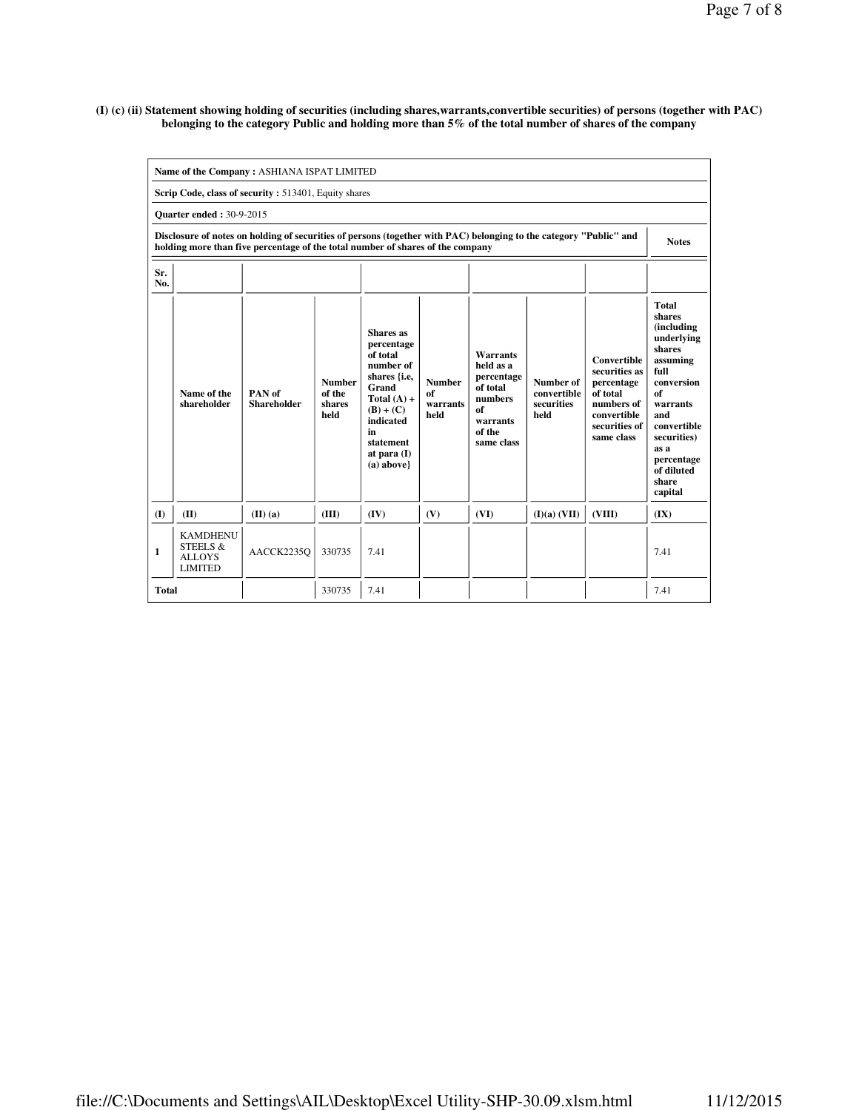#### **(I) (c) (ii) Statement showing holding of securities (including shares,warrants,convertible securities) of persons (together with PAC) belonging to the category Public and holding more than 5% of the total number of shares of the company**

| Name of the Company: ASHIANA ISPAT LIMITED |                                                                                                                                                                                                      |                              |                                           |                                                                                                                                                                                    |                                         |                                                                                                             |                                                |                                                                                                                           |                                                                                                                                                                                                                       |  |  |
|--------------------------------------------|------------------------------------------------------------------------------------------------------------------------------------------------------------------------------------------------------|------------------------------|-------------------------------------------|------------------------------------------------------------------------------------------------------------------------------------------------------------------------------------|-----------------------------------------|-------------------------------------------------------------------------------------------------------------|------------------------------------------------|---------------------------------------------------------------------------------------------------------------------------|-----------------------------------------------------------------------------------------------------------------------------------------------------------------------------------------------------------------------|--|--|
|                                            | Scrip Code, class of security: 513401, Equity shares                                                                                                                                                 |                              |                                           |                                                                                                                                                                                    |                                         |                                                                                                             |                                                |                                                                                                                           |                                                                                                                                                                                                                       |  |  |
|                                            | <b>Ouarter ended: 30-9-2015</b>                                                                                                                                                                      |                              |                                           |                                                                                                                                                                                    |                                         |                                                                                                             |                                                |                                                                                                                           |                                                                                                                                                                                                                       |  |  |
|                                            | Disclosure of notes on holding of securities of persons (together with PAC) belonging to the category "Public" and<br>holding more than five percentage of the total number of shares of the company |                              |                                           |                                                                                                                                                                                    |                                         |                                                                                                             |                                                |                                                                                                                           |                                                                                                                                                                                                                       |  |  |
| Sr.<br>No.                                 |                                                                                                                                                                                                      |                              |                                           |                                                                                                                                                                                    |                                         |                                                                                                             |                                                |                                                                                                                           |                                                                                                                                                                                                                       |  |  |
|                                            | Name of the<br>shareholder                                                                                                                                                                           | PAN of<br><b>Shareholder</b> | <b>Number</b><br>of the<br>shares<br>held | Shares as<br>percentage<br>of total<br>number of<br>shares { <i>i.e.</i><br>Grand<br>Total $(A)$ +<br>$(B) + (C)$<br>indicated<br>in<br>statement<br>at para $(I)$<br>$(a)$ above} | <b>Number</b><br>of<br>warrants<br>held | <b>Warrants</b><br>held as a<br>percentage<br>of total<br>numbers<br>of<br>warrants<br>of the<br>same class | Number of<br>convertible<br>securities<br>held | <b>Convertible</b><br>securities as<br>percentage<br>of total<br>numbers of<br>convertible<br>securities of<br>same class | <b>Total</b><br>shares<br><i>(including)</i><br>underlying<br>shares<br>assuming<br>full<br>conversion<br>of<br>warrants<br>and<br>convertible<br>securities)<br>as a<br>percentage<br>of diluted<br>share<br>capital |  |  |
| (I)                                        | (II)                                                                                                                                                                                                 | $(II)$ $(a)$                 | (III)                                     | (IV)                                                                                                                                                                               | (V)                                     | (VI)                                                                                                        | (I)(a) (VII)                                   | (VIII)                                                                                                                    | (IX)                                                                                                                                                                                                                  |  |  |
| 1                                          | <b>KAMDHENU</b><br>STEELS &<br><b>ALLOYS</b><br><b>LIMITED</b>                                                                                                                                       | AACCK2235O                   | 330735                                    | 7.41                                                                                                                                                                               |                                         |                                                                                                             |                                                |                                                                                                                           | 7.41                                                                                                                                                                                                                  |  |  |
| <b>Total</b>                               |                                                                                                                                                                                                      |                              | 330735                                    | 7.41                                                                                                                                                                               |                                         |                                                                                                             |                                                |                                                                                                                           | 7.41                                                                                                                                                                                                                  |  |  |